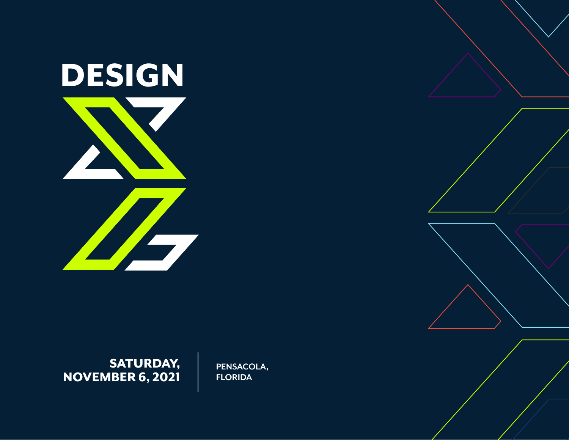

SATURDAY, NOVEMBER 6, 2021

**PENSACOLA, FLORIDA**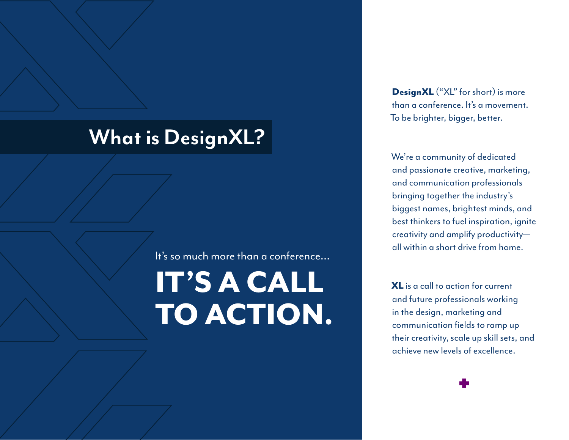# **What is DesignXL?**

It's so much more than a conference...

# IT'S A CALL TO ACTION.

DesignXL ("XL" for short) is more than a conference. It's a movement. To be brighter, bigger, better.

We're a community of dedicated and passionate creative, marketing, and communication professionals bringing together the industry's biggest names, brightest minds, and best thinkers to fuel inspiration, ignite creativity and amplify productivity all within a short drive from home.

XL is a call to action for current and future professionals working in the design, marketing and communication fields to ramp up their creativity, scale up skill sets, and achieve new levels of excellence.

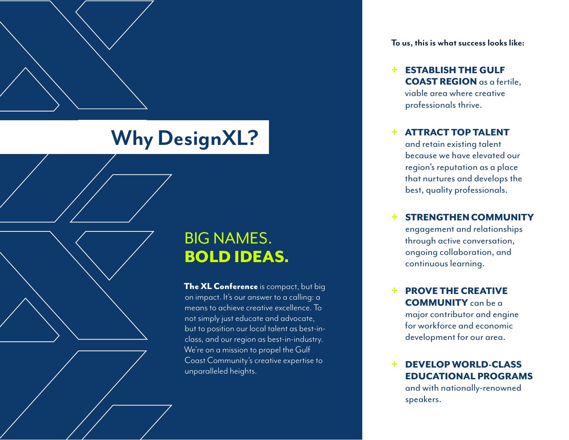# **Why DesignXL?**

### BIG NAMES. BOLD IDEAS.

The XL Conference is compact, but big on impact. It's our answer to a calling: a means to achieve creative excellence. To not simply just educate and advocate, but to position our local talent as best-inclass, and our region as best-in-industry. We're on a mission to propel the Gulf Coast Community's creative expertise to unparalleled heights.

**To us, this is what success looks like:**

+ ESTABLISH THE GULF COAST REGION as a fertile, viable area where creative professionals thrive.

#### **ATTRACT TOP TALENT**

and retain existing talent because we have elevated our region's reputation as a place that nurtures and develops the best, quality professionals.

#### STRENGTHEN COMMUNITY

engagement and relationships through active conversation, ongoing collaboration, and continuous learning.

#### **PROVE THE CREATIVE** COMMUNITY can be a

major contributor and engine for workforce and economic development for our area.

#### DEVELOP WORLD-CLASS EDUCATIONAL PROGRAMS

and with nationally-renowned speakers.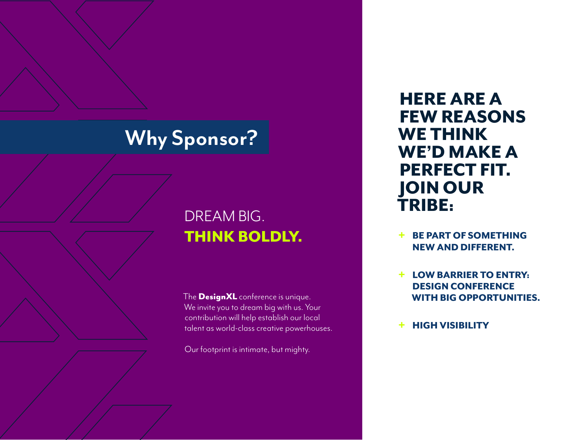# **Why Sponsor?**

## DREAM BIG. THINK BOLDLY.

The **DesignXL** conference is unique. We invite you to dream big with us. Your contribution will help establish our local talent as world-class creative powerhouses.

Our footprint is intimate, but mighty.

HERE ARE A FEW REASONS WE THINK WE'D MAKE A PERFECT FIT. JOIN OUR TRIBE:

- BE PART OF SOMETHING NEW AND DIFFERENT.
- + LOW BARRIER TO ENTRY: DESIGN CONFERENCE WITH BIG OPPORTUNITIES.
- + HIGH VISIBILITY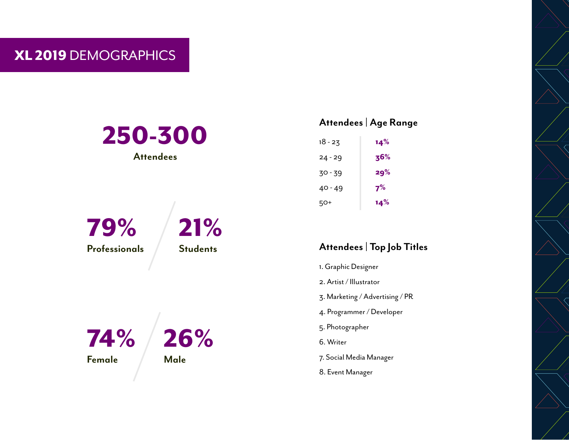### XL 2019 DEMOGRAPHICS

# 250-300 **Attendees** 79% **Professionals** 21% **Students**



#### **Attendees | Age Range**

| 18 - 23 | 14% |
|---------|-----|
| 24 - 29 | 36% |
| 30 - 39 | 29% |
| 40 - 49 | 7%  |
| 50+     | 14% |

#### **Attendees | Top Job Titles**

- 1. Graphic Designer
- 2. Artist / Illustrator
- 3. Marketing / Advertising / PR
- 4. Programmer / Developer
- 5. Photographer
- 6. Writer
- 7. Social Media Manager
- 8. Event Manager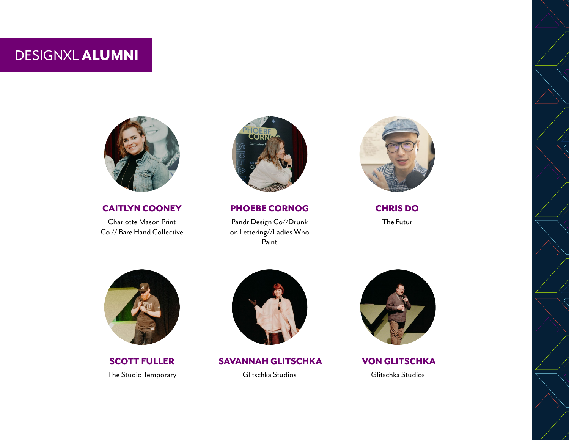DESIGNXL ALUMNI



CAITLYN COONEY Charlotte Mason Print Co // Bare Hand Collective



PHOEBE CORNOG

Pandr Design Co//Drunk on Lettering//Ladies Who Paint



CHRIS DO The Futur



SCOTT FULLER The Studio Temporary



 SAVANNAH GLITSCHKA Glitschka Studios



 VON GLITSCHKA Glitschka Studios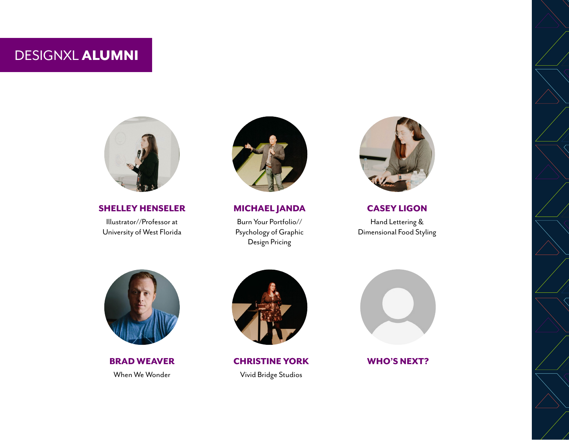DESIGNXL ALUMNI



SHELLEY HENSELER

Illustrator//Professor at University of West Florida



MICHAEL JANDA

Burn Your Portfolio// Psychology of Graphic Design Pricing



CASEY LIGON

Hand Lettering & Dimensional Food Styling



When We Wonder **Vivid Bridge Studios** 



BRAD WEAVER CHRISTINE YORK



WHO'S NEXT?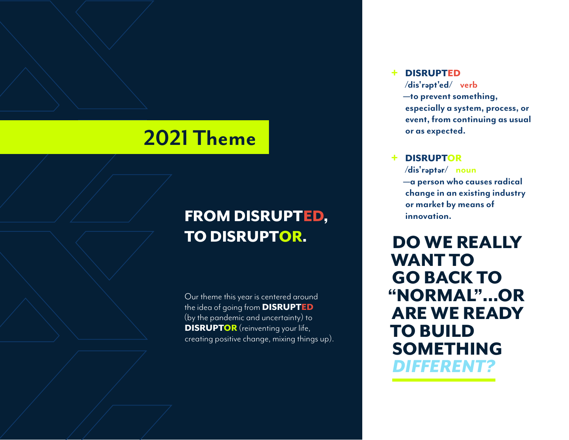## **2021 Theme**

## FROM DISRUPTED, TO DISRUPTOR.

Our theme this year is centered around the idea of going from DISRUPTED (by the pandemic and uncertainty) to **DISRUPTOR** (reinventing your life, creating positive change, mixing things up).

#### + DISRUPTED

**/dis'r pt'ed/ verb —to prevent something, especially a system, process, or event, from continuing as usual or as expected.**

#### + DISRUPTOR

**/dis'r pt r/ noun —a person who causes radical change in an existing industry or market by means of innovation.**

DO WE REALLY WANT TO GO BACK TO "NORMAL"...OR ARE WE READY TO BUILD SOMETHING *DIFFERENT?*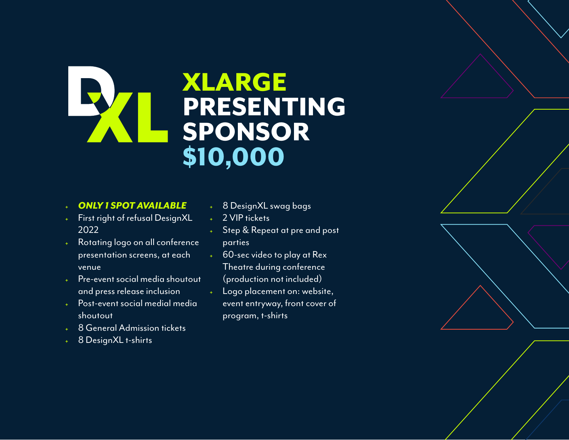# XLARGE XI PRESENTING SPONSOR \$10,000

#### <sup>+</sup> *ONLY 1 SPOT AVAILABLE*

- First right of refusal DesignXL 2022
- <sup>+</sup> Rotating logo on all conference presentation screens, at each venue
- <sup>+</sup> Pre-event social media shoutout and press release inclusion
- Post-event social medial media shoutout
- 8 General Admission tickets
- 8 DesignXL t-shirts
- 8 DesignXL swag bags
- 2 VIP tickets
- Step & Repeat at pre and post parties
- 60-sec video to play at Rex Theatre during conference (production not included)
- Logo placement on: website, event entryway, front cover of program, t-shirts

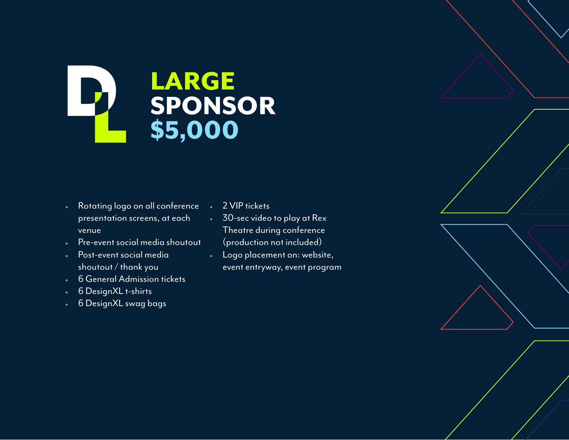## **LARGE**  $\mathbf{P}$ SPONSOR \$5,000

- <sup>+</sup> Rotating logo on all conference presentation screens, at each venue
- Pre-event social media shoutout
- <sup>+</sup> Post-event social media shoutout / thank you
- <sup>+</sup> 6 General Admission tickets
- 6 DesignXL t-shirts
- <sup>+</sup> 6 DesignXL swag bags
- 2 VIP tickets
- 30-sec video to play at Rex Theatre during conference (production not included)
- <sup>+</sup> Logo placement on: website, event entryway, event program

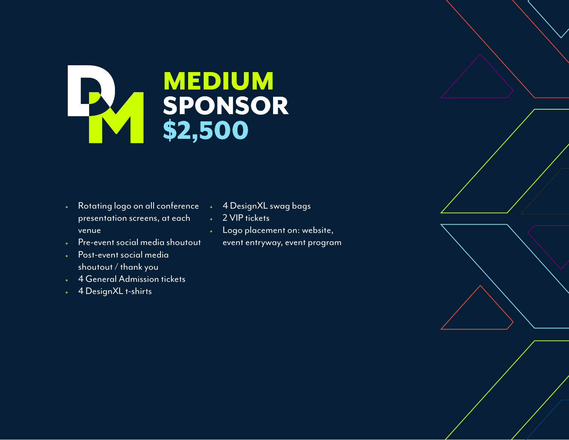

- <sup>+</sup> Rotating logo on all conference presentation screens, at each venue
- <sup>+</sup> Pre-event social media shoutout
- <sup>+</sup> Post-event social media shoutout / thank you
- 4 General Admission tickets
- 4 DesignXL t-shirts
- 4 DesignXL swag bags
- 2 VIP tickets
- <sup>+</sup> Logo placement on: website, event entryway, event program

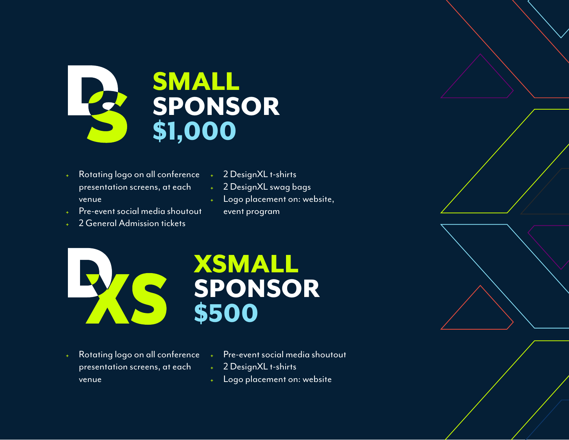

- <sup>+</sup> Rotating logo on all conference presentation screens, at each venue
- <sup>+</sup> 2 DesignXL t-shirts
- 2 DesignXL swag bags
- Pre-event social media shoutout
- 2 General Admission tickets
- <sup>+</sup> Logo placement on: website, event program



- Rotating logo on all conference presentation screens, at each venue
- Pre-event social media shoutout
- <sup>+</sup> 2 DesignXL t-shirts
- <sup>+</sup> Logo placement on: website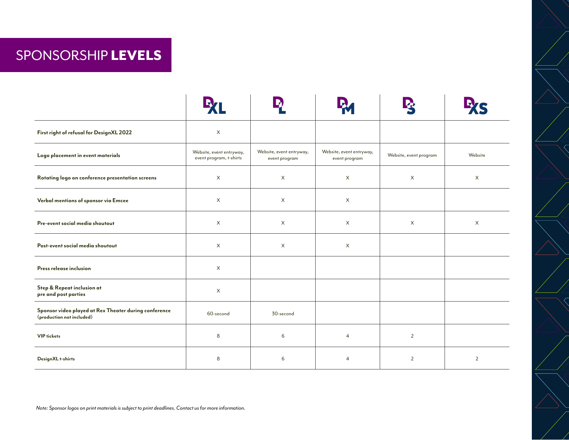### SPONSORSHIP LEVELS

| First right of refusal for DesignXL 2022                                           | $\mathsf X$                                         |                                           |                                           |                        |                |
|------------------------------------------------------------------------------------|-----------------------------------------------------|-------------------------------------------|-------------------------------------------|------------------------|----------------|
| Logo placement in event materials                                                  | Website, event entryway,<br>event program, t-shirts | Website, event entryway,<br>event program | Website, event entryway,<br>event program | Website, event program | Website        |
| Rotating logo on conference presentation screens                                   | $\mathsf{X}$                                        | X                                         | $\times$                                  | $\times$               | X              |
| Verbal mentions of sponsor via Emcee                                               | $\mathsf{X}$                                        | $\times$                                  | $\times$                                  |                        |                |
| Pre-event social media shoutout                                                    | $\mathsf{X}$                                        | $\times$                                  | $\times$                                  | $\times$               | $\times$       |
| Post-event social media shoutout                                                   | $\times$                                            | $\mathsf{X}$                              | $\times$                                  |                        |                |
| Press release inclusion                                                            | $\mathsf X$                                         |                                           |                                           |                        |                |
| Step & Repeat inclusion at<br>pre and post parties                                 | $\times$                                            |                                           |                                           |                        |                |
| Sponsor video played at Rex Theater during conference<br>(production not included) | 60-second                                           | 30-second                                 |                                           |                        |                |
| <b>VIP</b> tickets                                                                 | 8                                                   | 6                                         | $\overline{4}$                            | $\overline{2}$         |                |
| DesignXL t-shirts                                                                  | 8                                                   | 6                                         | $\overline{4}$                            | $\overline{2}$         | $\overline{2}$ |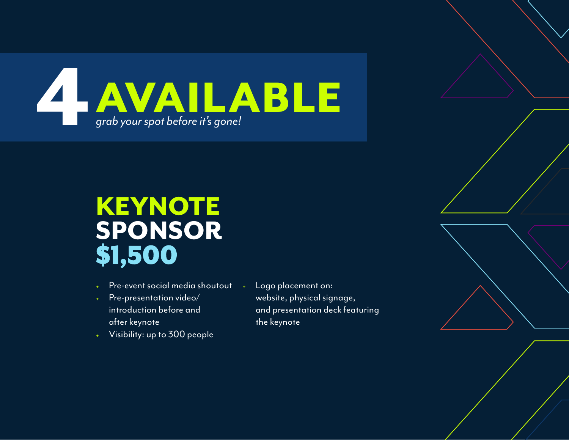

# KEYNOTE SPONSOR \$1,500

- Pre-event social media shoutout
- Pre-presentation video/ introduction before and after keynote
- Visibility: up to 300 people
- <sup>+</sup> Logo placement on: website, physical signage, and presentation deck featuring the keynote

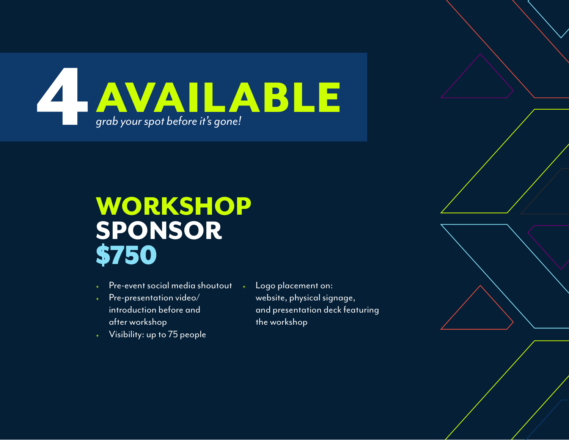

# WORKSHOP SPONSOR \$750

- Pre-event social media shoutout
- Pre-presentation video/ introduction before and after workshop
- Visibility: up to 75 people
- <sup>+</sup> Logo placement on: website, physical signage, and presentation deck featuring the workshop

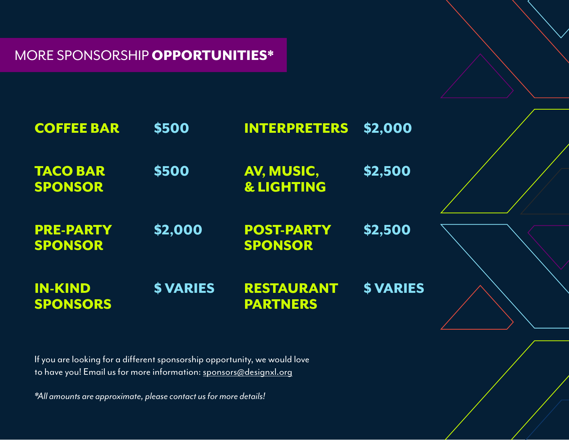### MORE SPONSORSHIP OPPORTUNITIES\*

| <b>COFFEE BAR</b>                  | \$500           | <b>INTERPRETERS</b>                  | \$2,000          |
|------------------------------------|-----------------|--------------------------------------|------------------|
| <b>TACO BAR</b><br><b>SPONSOR</b>  | \$500           | AV, MUSIC,<br><b>&amp; LIGHTING</b>  | \$2,500          |
| <b>PRE-PARTY</b><br><b>SPONSOR</b> | \$2,000         | <b>POST-PARTY</b><br><b>SPONSOR</b>  | \$2,500          |
| <b>IN-KIND</b><br><b>SPONSORS</b>  | <b>\$VARIES</b> | <b>RESTAURANT</b><br><b>PARTNERS</b> | <b>\$ VARIES</b> |

If you are looking for a different sponsorship opportunity, we would love to have you! Email us for more information: [sponsors@designxl.org](mailto:sponsors@designxl.org )

*\*All amounts are approximate, please contact us for more details!*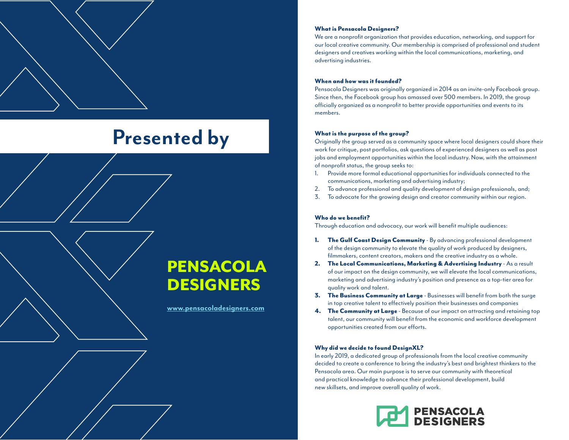# **Presented by**

### PENSACOLA **DESIGNERS**

**[www.pensacoladesigners.com](https://www.pensacoladesigners.com)**

#### What is Pensacola Designers?

We are a nonprofit organization that provides education, networking, and support for our local creative community. Our membership is comprised of professional and student designers and creatives working within the local communications, marketing, and advertising industries.

#### When and how was it founded?

Pensacola Designers was originally organized in 2014 as an invite-only Facebook group. Since then, the Facebook group has amassed over 500 members. In 2019, the group officially organized as a nonprofit to better provide opportunities and events to its members.

#### What is the purpose of the group?

Originally the group served as a community space where local designers could share their work for critique, post portfolios, ask questions of experienced designers as well as post jobs and employment opportunities within the local industry. Now, with the attainment of nonprofit status, the group seeks to:

- 1. Provide more formal educational opportunities for individuals connected to the communications, marketing and advertising industry;
- 2. To advance professional and quality development of design professionals, and;
- 3. To advocate for the growing design and creator community within our region.

#### Who do we benefit?

Through education and advocacy, our work will benefit multiple audiences:

- 1. The Gulf Coast Design Community By advancing professional development of the design community to elevate the quality of work produced by designers, filmmakers, content creators, makers and the creative industry as a whole.
- 2. The Local Communications, Marketing & Advertising Industry As a result of our impact on the design community, we will elevate the local communications, marketing and advertising industry's position and presence as a top-tier area for quality work and talent.
- **3.** The Business Community at Large Businesses will benefit from both the surge in top creative talent to effectively position their businesses and companies
- 4. The Community at Large Because of our impact on attracting and retaining top talent, our community will benefit from the economic and workforce development opportunities created from our efforts.

#### Why did we decide to found DesignXL?

In early 2019, a dedicated group of professionals from the local creative community decided to create a conference to bring the industry's best and brightest thinkers to the Pensacola area. Our main purpose is to serve our community with theoretical and practical knowledge to advance their professional development, build new skillsets, and improve overall quality of work.